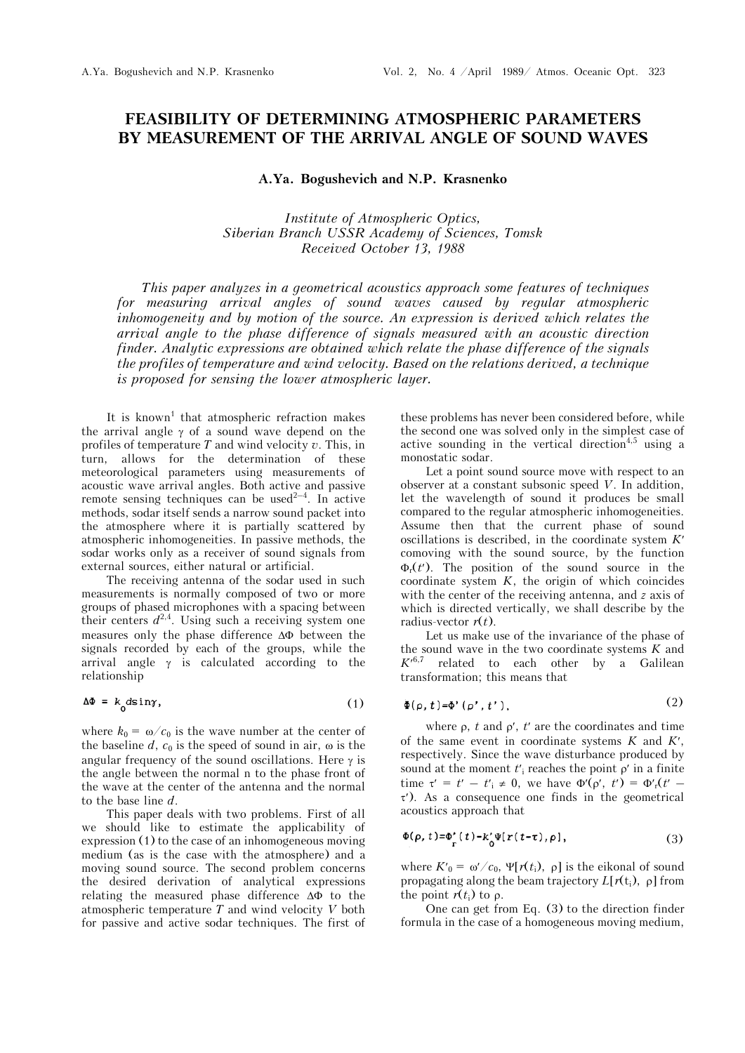## **FEASIBILITY OF DETERMINING ATMOSPHERIC PARAMETERS BY MEASUREMENT OF THE ARRIVAL ANGLE OF SOUND WAVES**

## **A.Ya. Bogushevich and N.P. Krasnenko**

*Institute of Atmospheric Optics, Siberian Branch USSR Academy of Sciences, Tomsk Received October 13, 1988* 

*This paper analyzes in a geometrical acoustics approach some features of techniques for measuring arrival angles of sound waves caused by regular atmospheric inhomogeneity and by motion of the source. An expression is derived which relates the arrival angle to the phase difference of signals measured with an acoustic direction finder. Analytic expressions are obtained which relate the phase difference of the signals the profiles of temperature and wind velocity. Based on the relations derived, a technique is proposed for sensing the lower atmospheric layer.*

It is known<sup>1</sup> that atmospheric refraction makes the arrival angle  $\gamma$  of a sound wave depend on the profiles of temperature *T* and wind velocity *v*. This, in turn, allows for the determination of these meteorological parameters using measurements of acoustic wave arrival angles. Both active and passive remote sensing techniques can be used<sup> $2-4$ </sup>. In active methods, sodar itself sends a narrow sound packet into the atmosphere where it is partially scattered by atmospheric inhomogeneities. In passive methods, the sodar works only as a receiver of sound signals from external sources, either natural or artificial.

The receiving antenna of the sodar used in such measurements is normally composed of two or more groups of phased microphones with a spacing between their centers  $d^{2,4}$ . Using such a receiving system one measures only the phase difference  $\Delta\Phi$  between the signals recorded by each of the groups, while the arrival angle  $\gamma$  is calculated according to the relationship

$$
\Delta \Phi = k_0 d \sin \gamma, \tag{1}
$$

where  $k_0 = \omega/c_0$  is the wave number at the center of the baseline  $d$ ,  $c_0$  is the speed of sound in air,  $\omega$  is the angular frequency of the sound oscillations. Here  $\gamma$  is the angle between the normal n to the phase front of the wave at the center of the antenna and the normal to the base line *d*.

This paper deals with two problems. First of all we should like to estimate the applicability of expression (1) to the case of an inhomogeneous moving medium (as is the case with the atmosphere) and a moving sound source. The second problem concerns the desired derivation of analytical expressions relating the measured phase difference  $\Delta\Phi$  to the atmospheric temperature *T* and wind velocity *V* both for passive and active sodar techniques. The first of

these problems has never been considered before, while the second one was solved only in the simplest case of active sounding in the vertical direction<sup>4,5</sup> using a monostatic sodar.

Let a point sound source move with respect to an observer at a constant subsonic speed *V*. In addition, let the wavelength of sound it produces be small compared to the regular atmospheric inhomogeneities. Assume then that the current phase of sound oscillations is described, in the coordinate system *K* comoving with the sound source, by the function  $\Phi_r(t')$ . The position of the sound source in the coordinate system  $K$ , the origin of which coincides with the center of the receiving antenna, and *z* axis of which is directed vertically, we shall describe by the radius-vector  $r(t)$ .

Let us make use of the invariance of the phase of the sound wave in the two coordinate systems *K* and  $K^{6,7}$  related to each other by a Galilean transformation; this means that

$$
\Phi(\rho, t) = \Phi'(\rho', t'), \qquad (2)
$$

where  $\rho$ ,  $t$  and  $\rho'$ ,  $t'$  are the coordinates and time of the same event in coordinate systems *K* and *K*, respectively. Since the wave disturbance produced by sound at the moment  $t'$ <sub>i</sub> reaches the point  $\rho'$  in a finite time  $\tau' = t' - t'$ <sub>i</sub>  $\neq$  0, we have  $\Phi'(\rho', t') = \Phi'_{r}(t' - t')$ ). As a consequence one finds in the geometrical acoustics approach that

$$
\Phi(\rho, t) = \Phi'_{\Gamma}(t) - k'_{0} \Psi[r(t-\tau), \rho], \qquad (3)
$$

where  $K_0 = \omega' / c_0$ ,  $\Psi[r(t_i), \rho]$  is the eikonal of sound propagating along the beam trajectory  $L[r(t_i), \rho]$  from the point  $r(t_i)$  to  $\rho$ .

One can get from Eq. (3) to the direction finder formula in the case of a homogeneous moving medium,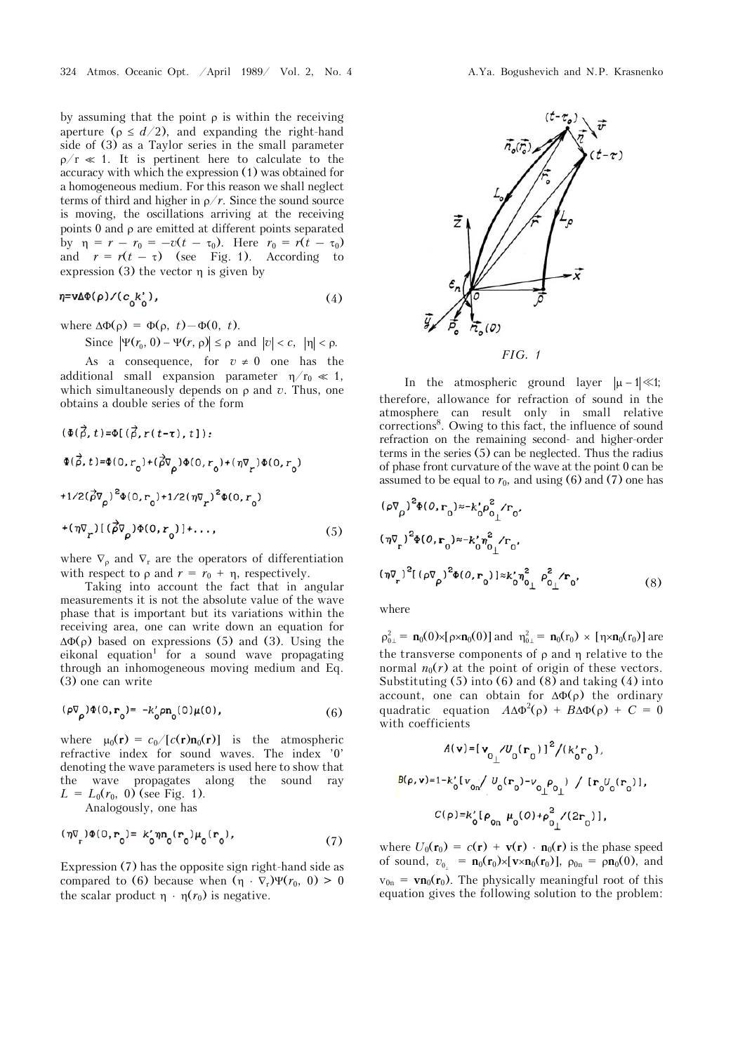by assuming that the point  $\rho$  is within the receiving aperture ( $\rho \leq d/2$ ), and expanding the right-hand side of (3) as a Taylor series in the small parameter  $\rho/r \ll 1$ . It is pertinent here to calculate to the accuracy with which the expression (1) was obtained for a homogeneous medium. For this reason we shall neglect terms of third and higher in  $\rho/r$ . Since the sound source is moving, the oscillations arriving at the receiving points  $0$  and  $\rho$  are emitted at different points separated by  $\eta = r - r_0 = -v(t - \tau_0)$ . Here  $r_0 = r(t - \tau_0)$ and  $r = r(t - \tau)$  (see Fig. 1). According to expression  $(3)$  the vector  $\eta$  is given by

$$
\eta = \mathbf{v} \Delta \Phi(\rho) / (c_0 k_0'),\tag{4}
$$

where  $\Delta \Phi(\rho) = \Phi(\rho, t) - \Phi(0, t)$ .

Since  $|\Psi(r_0, 0) - \Psi(r, \rho)| \le \rho$  and  $|v| < c$ ,  $|\eta| < \rho$ .

As a consequence, for  $v \neq 0$  one has the additional small expansion parameter  $\eta/r_0 \ll 1$ , which simultaneously depends on  $\rho$  and  $\dot{v}$ . Thus, one obtains a double series of the form

$$
(\Phi(\vec{\rho}, t) = \Phi[(\vec{\rho}, r(t-\tau), t]);
$$
  
\n
$$
\Phi(\vec{\rho}, t) = \Phi(0, r_0) + (\vec{\rho}\nabla_{\rho})\Phi(0, r_0) + (\eta\nabla_{r})\Phi(0, r_0)
$$
  
\n+1/2( $\vec{\rho}\nabla_{\rho}$ )<sup>2</sup> $\Phi(0, r_0)$ +1/2( $\eta\nabla_{r}$ )<sup>2</sup> $\Phi(0, r_0)$   
\n+( $\eta\nabla_{r}$ )[( $\vec{\rho}\nabla_{\rho}$ ) $\Phi(0, r_0)$ ]+..., (5)

where  $\nabla_{\rho}$  and  $\nabla_{\mathbf{r}}$  are the operators of differentiation with respect to  $\rho$  and  $r = r_0 + \eta$ , respectively.

Taking into account the fact that in angular measurements it is not the absolute value of the wave phase that is important but its variations within the receiving area, one can write down an equation for  $\Delta\Phi(\rho)$  based on expressions (5) and (3). Using the  $eikonal$  equation<sup>1</sup> for a sound wave propagating through an inhomogeneous moving medium and Eq. (3) one can write

$$
(\rho \nabla_{\rho}) \Phi(0, \mathbf{r}_{0}) = -k'_{0} \rho \mathbf{n}_{0}(0) \mu(0), \qquad (6)
$$

where  $\mu_0(\mathbf{r}) = c_0/[c(\mathbf{r})\mathbf{n}_0(\mathbf{r})]$  is the atmospheric refractive index for sound waves. The index '0' denoting the wave parameters is used here to show that the wave propagates along the sound ray  $L = L_0(r_0, 0)$  (see Fig. 1). Analogously, one has

$$
(\eta \nabla_{\mathbf{r}}) \Phi(\mathbf{0}, \mathbf{r}_{0}) = k'_{0} \eta \mathbf{n}_{0}(\mathbf{r}_{0}) \mu_{0}(\mathbf{r}_{0}), \qquad (7)
$$

Expression (7) has the opposite sign right-hand side as compared to (6) because when  $(\eta \cdot \nabla_r)\Psi(r_0, 0) > 0$ the scalar product  $\eta \cdot \eta(r_0)$  is negative.



In the atmospheric ground layer  $|\mu - 1| \ll 1$ ; therefore, allowance for refraction of sound in the atmosphere can result only in small relative corrections<sup>8</sup>. Owing to this fact, the influence of sound refraction on the remaining second- and higher-order terms in the series (5) can be neglected. Thus the radius of phase front curvature of the wave at the point 0 can be assumed to be equal to  $r_0$ , and using (6) and (7) one has

$$
(\rho \nabla_{\rho})^2 \Phi(0, \mathbf{r}_0) \approx -k'_0 \rho_{0\perp}^2 \mathbf{r}_0,
$$
  
\n
$$
(\eta \nabla_{\rho})^2 \Phi(0, \mathbf{r}_0) \approx -k'_0 \eta_{0\perp}^2 / \mathbf{r}_0,
$$
  
\n
$$
(\eta \nabla_{\rho})^2 [(\rho \nabla_{\rho})^2 \Phi(0, \mathbf{r}_0)] \approx k'_0 \eta_{0\perp}^2 \rho_{0\perp}^2 / \mathbf{r}_0,
$$
\n(8)

where

 $\rho_{0\perp}^2 = \mathbf{n}_0(0) \times [\rho \times \mathbf{n}_0(0)]$  and  $\eta_{0\perp}^2 = \mathbf{n}_0(\mathbf{r}_0) \times [\eta \times \mathbf{n}_0(\mathbf{r}_0)]$  are the transverse components of  $\rho$  and  $\eta$  relative to the normal  $n_0(r)$  at the point of origin of these vectors. Substituting  $(5)$  into  $(6)$  and  $(8)$  and taking  $(4)$  into account, one can obtain for  $\Delta\Phi(\rho)$  the ordinary quadratic equation  $A\Delta\Phi^2(\rho) + B\Delta\Phi(\rho) + C = 0$ with coefficients

$$
A(\mathbf{v}) = [\mathbf{v}_{0} / U_0(\mathbf{r}_0)]^2 / (k_0' \mathbf{r}_0),
$$
  
\n
$$
B(\rho, \mathbf{v}) = 1 - k_0' [v_{0n} / U_0(\mathbf{r}_0) - v_{0n} \rho_{0n}] / [r_0 U_0(\mathbf{r}_0)],
$$
  
\n
$$
C(\rho) = k_0' [\rho_{0n} \mu_0(0) + \rho_{0n}^2 / (2r_0)],
$$

where  $U_0(\mathbf{r}_0) = c(\mathbf{r}) + \mathbf{v}(\mathbf{r}) \cdot \mathbf{n}_0(\mathbf{r})$  is the phase speed of sound,  $v_{0} = \mathbf{n}_0(\mathbf{r}_0) \times [\mathbf{v} \times \mathbf{n}_0(\mathbf{r}_0)]$ ,  $\rho_{0n} = \rho \mathbf{n}_0(0)$ , and  $v_{0n}$  =  $\mathbf{v}_0(\mathbf{r}_0)$ . The physically meaningful root of this equation gives the following solution to the problem: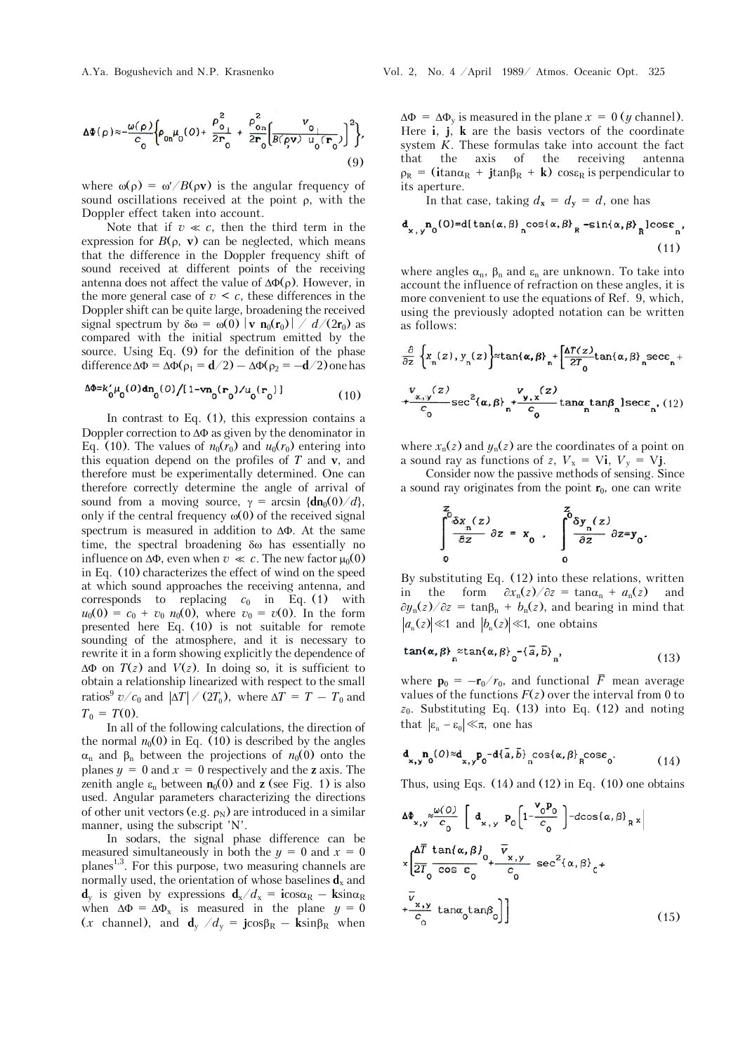$$
\Delta \Phi(\rho) \approx -\frac{\omega(\rho)}{c_0} \Biggl\{ \rho_{0n} \mu_0(\theta) + \frac{\rho_{0_1}^2}{2r_0} + \frac{\rho_{0n}^2}{2r_0} \Biggl[ \frac{v_{0_1}}{B(\rho v) u_0(r_0)} \Biggr]^2 \Biggr\},\tag{9}
$$

where  $\omega(\rho) = \omega'/B(\rho \mathbf{v})$  is the angular frequency of sound oscillations received at the point  $\rho$ , with the Doppler effect taken into account.

Note that if  $v \ll c$ , then the third term in the expression for  $B(\rho, \mathbf{v})$  can be neglected, which means that the difference in the Doppler frequency shift of sound received at different points of the receiving antenna does not affect the value of  $\Delta\Phi(\rho)$ . However, in the more general case of  $v \leq c$ , these differences in the Doppler shift can be quite large, broadening the received signal spectrum by  $\delta \omega = \omega(0) |\mathbf{v} \mathbf{n}_0(\mathbf{r}_0)| / d/(2\mathbf{r}_0)$  as compared with the initial spectrum emitted by the source. Using Eq. (9) for the definition of the phase difference  $\Delta \Phi = \Delta \Phi(\rho_1 = \mathbf{d}/2) - \Delta \Phi(\rho_2 = -\mathbf{d}/2)$  one has

$$
\Delta \Phi = k'_0 \mu_0(0) \mathrm{dn}_0(0) / [1 - \mathbf{v} \mathbf{n}_0(\mathbf{r}_0) / u_0(\mathbf{r}_0)] \tag{10}
$$

In contrast to Eq. (1), this expression contains a Doppler correction to  $\Delta\Phi$  as given by the denominator in Eq. (10). The values of  $n_0(r_0)$  and  $u_0(r_0)$  entering into this equation depend on the profiles of *T* and **v**, and therefore must be experimentally determined. One can therefore correctly determine the angle of arrival of sound from a moving source,  $\gamma = \arcsin \{d\mathbf{n}_0(0)/d\}$ , only if the central frequency  $\omega(0)$  of the received signal spectrum is measured in addition to  $\Delta\Phi$ . At the same time, the spectral broadening  $\delta\omega$  has essentially no influence on  $\Delta \Phi$ , even when  $v \ll c$ . The new factor  $\mu_0(0)$ in Eq. (10) characterizes the effect of wind on the speed at which sound approaches the receiving antenna, and corresponds to replacing  $c_0$  in Eq. (1) with  $u_0(0) = c_0 + v_0 n_0(0)$ , where  $v_0 = v(0)$ . In the form presented here Eq. (10) is not suitable for remote sounding of the atmosphere, and it is necessary to rewrite it in a form showing explicitly the dependence of  $\Delta \Phi$  on  $T(z)$  and  $V(z)$ . In doing so, it is sufficient to obtain a relationship linearized with respect to the small ratios<sup>9</sup>  $v/c_0$  and  $|AT| / (2T_0)$ , where  $\Delta T = T - T_0$  and  $T_0 = T(0)$ .

In all of the following calculations, the direction of the normal  $n_0(0)$  in Eq. (10) is described by the angles  $\alpha_n$  and  $\beta_n$  between the projections of  $n_0(0)$  onto the planes  $y = 0$  and  $x = 0$  respectively and the **z** axis. The zenith angle  $\varepsilon_n$  between  $\mathbf{n}_0(0)$  and **z** (see Fig. 1) is also used. Angular parameters characterizing the directions of other unit vectors (e.g.  $\rho_N$ ) are introduced in a similar manner, using the subscript 'N'.

In sodars, the signal phase difference can be measured simultaneously in both the  $y = 0$  and  $x = 0$ planes<sup>1,3</sup>. For this purpose, two measuring channels are normally used, the orientation of whose baselines  $\mathbf{d}_x$  and  $d_v$  is given by expressions  $d_x/d_x = i \cos \alpha_R - k \sin \alpha_R$ when  $\Delta \Phi = \Delta \Phi_x$  is measured in the plane  $y = 0$  $(x \text{ channel}), \text{ and } \mathbf{d}_y / d_y = \mathbf{j} \cos \beta_R - \mathbf{k} \sin \beta_R \text{ when}$ 

 $\Delta \Phi = \Delta \Phi_v$  is measured in the plane  $x = 0$  (*y* channel). Here **i**, **j**, **k** are the basis vectors of the coordinate system  $\check{K}$ . These formulas take into account the fact that the axis of the receiving antenna  $\rho_R$  = (**i**tan $\alpha_R$  + **j**tan $\beta_R$  + **k**) cose<sub>R</sub> is perpendicular to its aperture.

In that case, taking  $d_x = d_y = d$ , one has

$$
\mathbf{d}_{\mathbf{x},\mathbf{y}}\mathbf{n}_0(\mathbf{0}) = \mathbf{d}[\tan\{\alpha,\beta\}_{\mathbf{n}}\cos\{\alpha,\beta\}_{\mathbf{R}} - \sin\{\alpha,\beta\}_{\mathbf{R}}]\cos\epsilon_{\mathbf{n}},
$$
\n(11)

where angles  $\alpha_n$ ,  $\beta_n$  and  $\varepsilon_n$  are unknown. To take into account the influence of refraction on these angles, it is more convenient to use the equations of Ref. 9, which, using the previously adopted notation can be written as follows:

$$
\frac{\partial}{\partial z} \left\{ x_n(z), y_n(z) \right\} \approx \tan\{\alpha, \beta\}_n + \left[ \frac{\Delta T(z)}{2T_0} \tan\{\alpha, \beta\}_n \sec \alpha_n + \frac{V_{x,y}(z)}{C_0} \sec^2\{\alpha, \beta\}_n + \frac{V_{y,x}(z)}{C_0} \tan \alpha_n \tan \beta_n \right\} \sec \alpha_n, (12)
$$

where  $x_n(z)$  and  $y_n(z)$  are the coordinates of a point on a sound ray as functions of *z*,  $V_x = Vi$ ,  $V_y = Vj$ .

Consider now the passive methods of sensing. Since a sound ray originates from the point  $\mathbf{r}_0$ , one can write

$$
\int_{0}^{z} \frac{\delta x_n(z)}{\delta z} \, \delta z = x_0 , \quad \int_{0}^{z} \frac{\delta y_n(z)}{\delta z} \, \delta z = y_0 .
$$

By substituting Eq. (12) into these relations, written the form  $\partial x_{n}(z)/\partial z = \tan \alpha_{n} + a_{n}(z)$  and  $\partial y_n(z)/\partial z = \tan\beta_n + b_n(z)$ , and bearing in mind that  $|a_n(z)| \ll 1$  and  $|b_n(z)| \ll 1$ , one obtains

$$
\tan\{\alpha, \beta\} \underset{n}{\approx} \tan\{\alpha, \beta\} \underset{0}{\sim} \{-\overline{a}, \overline{b}\}, \tag{13}
$$

where  $\mathbf{p}_0 = -\mathbf{r}_0/r_0$ , and functional  $\overline{F}$  mean average values of the functions  $F(z)$  over the interval from 0 to  $z_0$ . Substituting Eq. (13) into Eq. (12) and noting that  $|\varepsilon_n - \varepsilon_0| \ll \pi$ , one has

$$
\mathbf{d}_{\mathbf{x},\mathbf{y}}\mathbf{n}_0(\mathbf{0}) \approx \mathbf{d}_{\mathbf{x},\mathbf{y}}\mathbf{p}_0 - \mathbf{d}\{\bar{a},\bar{b}\}_{\mathbf{n}}\cos\{\alpha,\beta\}_{\mathbf{R}}\cos\epsilon_0. \tag{14}
$$

Thus, using Eqs.  $(14)$  and  $(12)$  in Eq.  $(10)$  one obtains

$$
\Delta\Phi_{x,y} \approx \frac{\omega(0)}{c_0} \left[ d_{x,y} p_0 \left( 1 - \frac{v_0 P_0}{c_0} \right) - d\cos\{\alpha, \beta\}_{R} x \right]
$$
  

$$
\times \left( \frac{\Delta \overline{T} \tan\{\alpha, \beta\}}{2\overline{T}_0 \cos \epsilon_0} \right) + \frac{\overline{v}_{x,y}}{c_0} \sec^2\{\alpha, \beta\}_0 + \frac{\overline{v}_{x,y}}{c_0} t^2 + \frac{\overline{v}_{x,y}}{c_0} \tan\{\alpha, \alpha\}_{0} \right]
$$
(15)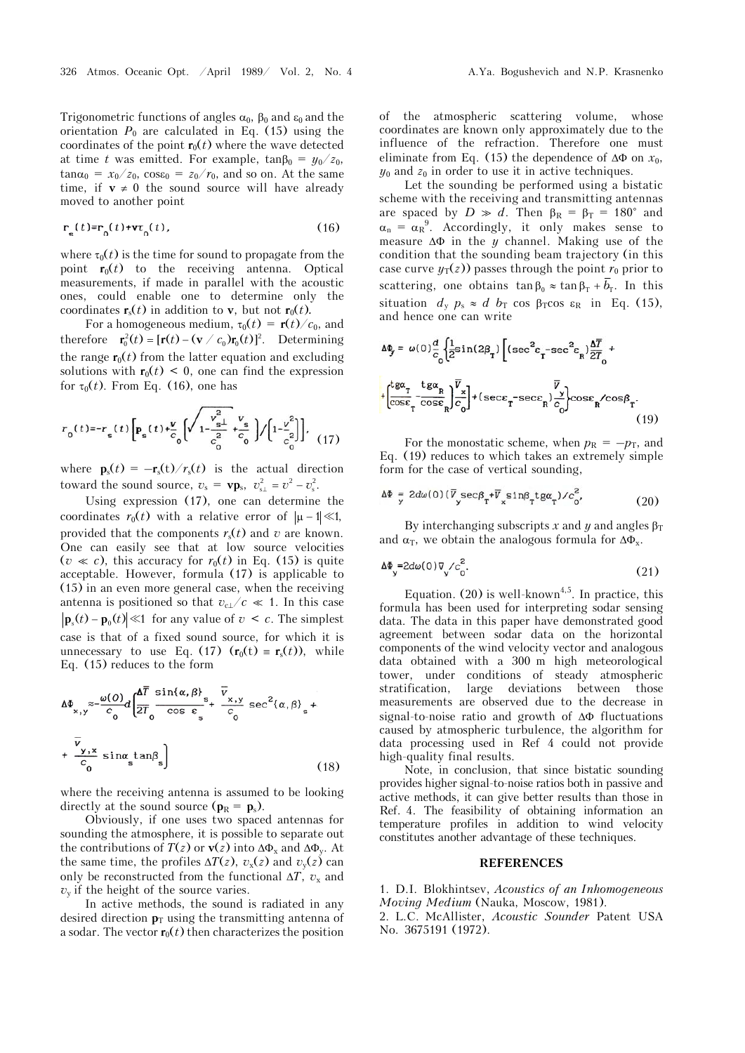Trigonometric functions of angles  $\alpha_0$ ,  $\beta_0$  and  $\epsilon_0$  and the orientation  $P_0$  are calculated in Eq. (15) using the coordinates of the point  $\mathbf{r}_0(t)$  where the wave detected at time *t* was emitted. For example,  $tan\beta_0 = y_0/z_0$ ,  $\tan\alpha_0 = x_0/z_0$ ,  $\cos\epsilon_0 = z_0/r_0$ , and so on. At the same time, if  $v \neq 0$  the sound source will have already moved to another point

$$
\mathbf{r}_{\mathbf{s}}(t) = \mathbf{r}_{0}(t) + \mathbf{v}\tau_{0}(t),\tag{16}
$$

where  $\tau_0(t)$  is the time for sound to propagate from the point  $\mathbf{r}_0(t)$  to the receiving antenna. Optical measurements, if made in parallel with the acoustic ones, could enable one to determine only the coordinates  $\mathbf{r}_s(t)$  in addition to **v**, but not  $\mathbf{r}_0(t)$ .

For a homogeneous medium,  $\tau_0(t) = \mathbf{r}(t)/c_0$ , and therefore  $\mathbf{r}_0^2(t) = [\mathbf{r}(t) - (\mathbf{v} \, / \, c_0)\mathbf{r}_0(t)]^2$ . Determining the range  $\mathbf{r}_0(t)$  from the latter equation and excluding solutions with  $\mathbf{r}_0(t) \leq 0$ , one can find the expression for  $\tau_0(t)$ . From Eq. (16), one has

$$
r_0(t) = r_s(t) \left[ \mathbf{p}_s(t) + \frac{v}{c_0} \left[ \sqrt{1 - \frac{v_{s\perp}^2}{c_0^2}} + \frac{v_s}{c_0} \right] / \left[ 1 - \frac{v^2}{c_0^2} \right] \right], \quad (17)
$$

where  $\mathbf{p}_s(t) = -\mathbf{r}_s(t)/r_s(t)$  is the actual direction toward the sound source,  $v_s = v \mathbf{p}_s$ ,  $v_{s\perp}^2 = v^2 - v_s^2$ .

Using expression (17), one can determine the coordinates  $r_0(t)$  with a relative error of  $|\mu - 1| \ll 1$ , provided that the components  $r<sub>s</sub>(t)$  and *v* are known. One can easily see that at low source velocities  $(v \ll c)$ , this accuracy for  $r_0(t)$  in Eq. (15) is quite acceptable. However, formula (17) is applicable to (15) in an even more general case, when the receiving antenna is positioned so that  $v_{c}$   $/c \ll 1$ . In this case  $|\mathbf{p}_s(t) - \mathbf{p}_0(t)| \ll 1$  for any value of  $v < c$ . The simplest case is that of a fixed sound source, for which it is unnecessary to use Eq. (17)  $(\mathbf{r}_0(t) = \mathbf{r}_s(t))$ , while Eq. (15) reduces to the form

$$
\Delta\Phi_{x,y} \approx -\frac{\omega(0)}{c_0} d \left[ \frac{\Delta \overline{T}}{2\overline{T}} \frac{\sin\{\alpha,\beta\}}{\cos \varepsilon} s + \frac{\overline{v}_{x,y}}{c_0} \sec^2\{\alpha,\beta\}_{s} + \frac{\overline{v}_{y,x}}{c_0} \right]
$$
  
+ 
$$
\frac{\overline{v}_{y,x}}{c_0} \sin\alpha \tan\beta_{s} \qquad (18)
$$

where the receiving antenna is assumed to be looking directly at the sound source ( $\mathbf{p}_R = \mathbf{p}_s$ ).

Obviously, if one uses two spaced antennas for sounding the atmosphere, it is possible to separate out the contributions of  $T(z)$  or  $v(z)$  into  $\Delta \Phi_x$  and  $\Delta \Phi_y$ . At the same time, the profiles  $\Delta T(z)$ ,  $v_x(z)$  and  $v_y(z)$  can only be reconstructed from the functional  $\Delta T$ ,  $v_x$  and  $v_y$  if the height of the source varies.

In active methods, the sound is radiated in any desired direction  $\mathbf{p}_T$  using the transmitting antenna of a sodar. The vector  $\mathbf{r}_0(t)$  then characterizes the position of the atmospheric scattering volume, whose coordinates are known only approximately due to the influence of the refraction. Therefore one must eliminate from Eq. (15) the dependence of  $\Delta\Phi$  on  $x_0$ ,  $y_0$  and  $z_0$  in order to use it in active techniques.

Let the sounding be performed using a bistatic scheme with the receiving and transmitting antennas are spaced by  $D \gg d$ . Then  $\beta_R = \beta_T = 180^\circ$  and  $\alpha_n = \alpha_R^9$ . Accordingly, it only makes sense to measure  $\Delta \Phi$  in the *y* channel. Making use of the condition that the sounding beam trajectory (in this case curve  $y_T(z)$ ) passes through the point  $r_0$  prior to scattering, one obtains  $\tan \beta_0 \approx \tan \beta_\text{T} + \overline{b}_\text{T}$ . In this situation  $d_y$   $p_s \approx d b_T \cos \beta_T \cos \epsilon_R$  in Eq. (15), and hence one can write

$$
\Delta \Phi_{\mathbf{y}} = \omega(0) \frac{d}{c_0} \left\{ \frac{1}{2} \sin(2\beta_{\mathbf{T}}) \left[ (\sec^2 \epsilon_{\mathbf{T}} - \sec^2 \epsilon_{\mathbf{R}}) \frac{\Delta \overline{T}}{2T_0} + \frac{1}{2} \frac{d\mathbf{R} \cdot \mathbf{z}}{\cos \epsilon_{\mathbf{T}}} \right\} \frac{\overline{V}}{c_0} \right\} + (\sec \epsilon_{\mathbf{T}} - \sec \epsilon_{\mathbf{R}}) \frac{\overline{V}}{c_0} \cos \epsilon_{\mathbf{R}} / \cos \beta_{\mathbf{T}}.
$$
\n(19)

For the monostatic scheme, when  $p_R = -p_T$ , and Eq. (19) reduces to which takes an extremely simple form for the case of vertical sounding,

$$
\Delta \Phi = 2d\omega(0) (\overline{V}_{y} \sec \beta_{T} + \overline{V}_{x} \sin \beta_{T} t g \alpha_{T}) / c_{0}^{2}, \qquad (20)
$$

By interchanging subscripts *x* and *y* and angles  $\beta_T$ and  $\alpha$ <sub>T</sub>, we obtain the analogous formula for  $\Delta \Phi$ <sub>x</sub>.

$$
\Delta \Phi_{\mathbf{y}} = 2d\omega(0)\nabla_{\mathbf{y}}^2/c_0^2. \tag{21}
$$

Equation. (20) is well-known<sup>4,5</sup>. In practice, this formula has been used for interpreting sodar sensing data. The data in this paper have demonstrated good agreement between sodar data on the horizontal components of the wind velocity vector and analogous data obtained with a 300 m high meteorological tower, under conditions of steady atmospheric stratification, large deviations between those measurements are observed due to the decrease in signal-to-noise ratio and growth of  $\Delta\Phi$  fluctuations caused by atmospheric turbulence, the algorithm for data processing used in Ref 4 could not provide high-quality final results.

Note, in conclusion, that since bistatic sounding provides higher signal-to-noise ratios both in passive and active methods, it can give better results than those in Ref. 4. The feasibility of obtaining information an temperature profiles in addition to wind velocity constitutes another advantage of these techniques.

## **REFERENCES**

1. D.I. Blokhintsev, *Acoustics of àn Inhomogeneous Moving Medium* (Nauka, Moscow, 1981).

2. L.C. McAllister, *Acoustic Sounder* Patent USA No. 3675191 (1972).